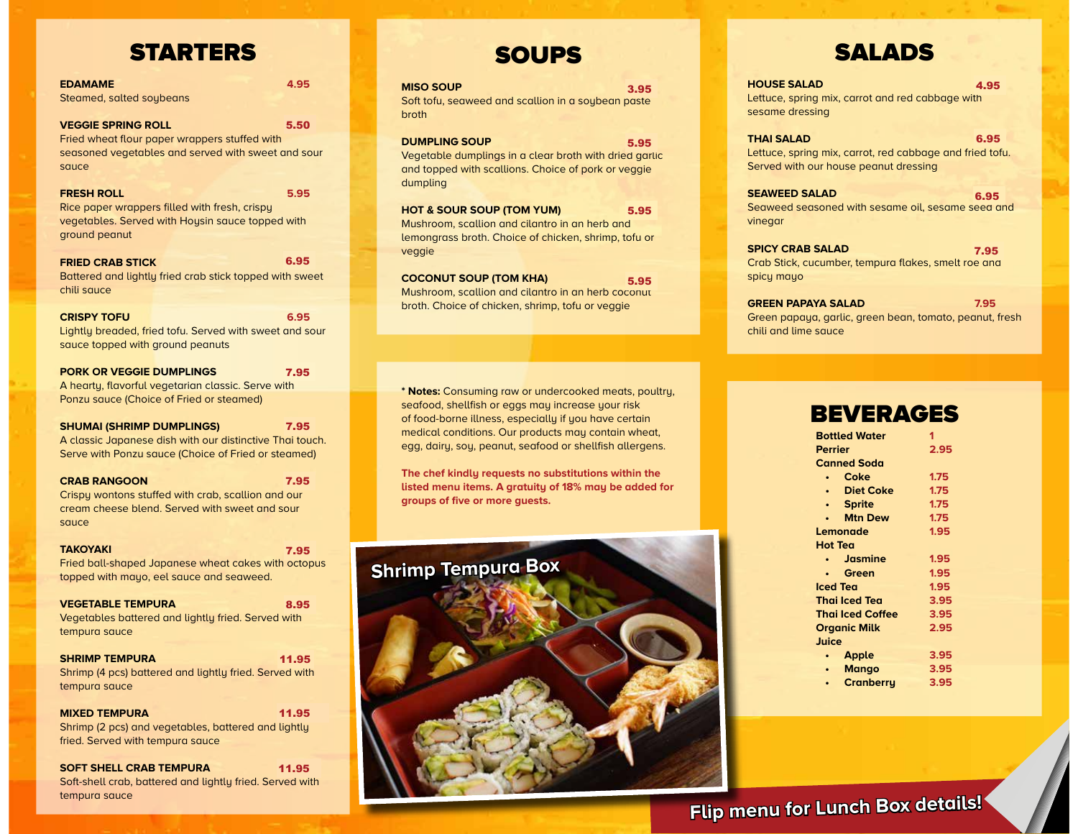# STARTERS

| <b>EDAMAME</b><br>4.95<br>Steamed, salted soybeans                                                                                                          |  |
|-------------------------------------------------------------------------------------------------------------------------------------------------------------|--|
| 5.50<br><b>VEGGIE SPRING ROLL</b><br>Fried wheat flour paper wrappers stuffed with<br>seasoned vegetables and served with sweet and sour<br>sauce           |  |
| <b>FRESH ROLL</b><br>5.95<br>Rice paper wrappers filled with fresh, crispy<br>vegetables. Served with Hoysin sauce topped with                              |  |
| ground peanut<br>6.95<br><b>FRIED CRAB STICK</b><br>Battered and lightly fried crab stick topped with sweet<br>chili sauce                                  |  |
| <b>CRISPY TOFU</b><br>6.95<br>Lightly breaded, fried tofu. Served with sweet and sour<br>sauce topped with ground peanuts                                   |  |
| <b>PORK OR VEGGIE DUMPLINGS</b><br>7.95<br>A hearty, flavorful vegetarian classic. Serve with<br>Ponzu sauce (Choice of Fried or steamed)                   |  |
| <b>SHUMAI (SHRIMP DUMPLINGS)</b><br>7.95<br>A classic Japanese dish with our distinctive Thai touch.<br>Serve with Ponzu sauce (Choice of Fried or steamed) |  |
| <b>CRAB RANGOON</b><br>7.95<br>Crispy wontons stuffed with crab, scallion and our<br>cream cheese blend. Served with sweet and sour<br>sauce                |  |
| <b>TAKOYAKI</b><br>7.95<br>Fried ball-shaped Japanese wheat cakes with octopus<br>topped with mayo, eel sauce and seaweed.                                  |  |
| <b>VEGETABLE TEMPURA</b><br>8.95<br>Vegetables battered and lightly fried. Served with<br>tempura sauce                                                     |  |
| <b>SHRIMP TEMPURA</b><br>11.95<br>Shrimp (4 pcs) battered and lightly fried. Served with<br>tempura sauce                                                   |  |
| <b>MIXED TEMPURA</b><br>11.95<br>Shrimp (2 pcs) and vegetables, battered and lightly<br>fried. Served with tempura sauce                                    |  |
| <b>SOFT SHELL CRAB TEMPURA</b><br>11.95<br>Soft-shell crab, battered and liahtly fried. Served with                                                         |  |

tempura sauce

# SOUPS

| <b>MISO SOUP</b>                                   | 3.95 |
|----------------------------------------------------|------|
| Soft tofu, seaweed and scallion in a soybean paste |      |
| broth                                              |      |

b<sub>r</sub>

**DUMPLING SOUP** Vegetable dumplings in a clear broth with dried garlic and topped with scallions. Choice of pork or veggie dumpling 5.95

**HOT & SOUR SOUP (TOM YUM)** Mushroom, scallion and cilantro in an herb and lemongrass broth. Choice of chicken, shrimp, tofu or veggie 5.95

**COCONUT SOUP (TOM KHA)** Mushroom, scallion and cilantro in an herb coconut broth. Choice of chicken, shrimp, tofu or veggie 5.95

**\* Notes:** Consuming raw or undercooked meats, poultry, seafood, shellfish or eggs may increase your risk of food-borne illness, especially if you have certain medical conditions. Our products may contain wheat, egg, dairy, soy, peanut, seafood or shellfish allergens.

**The chef kindly requests no substitutions within the listed menu items. A gratuity of 18% may be added for groups of five or more guests.**

| <b>Shrimp Tempura Box</b> |  |  |
|---------------------------|--|--|
|                           |  |  |
|                           |  |  |



**HOUSE SALAD** Lettuce, spring mix, carrot and red cabbage with sesame dressing 4.95

**THAI SALAD** Lettuce, spring mix, carrot, red cabbage and fried tofu. Served with our house peanut dressing 6.95

**SEAWEED SALAD** Seaweed seasoned with sesame oil, sesame seed and vinegar 6.95

**SPICY CRAB SALAD** Crab Stick, cucumber, tempura flakes, smelt roe and spicy mayo 7.95

**GREEN PAPAYA SALAD 7.95** Green papaya, garlic, green bean, tomato, peanut, fresh chili and lime sauce

# **BEVERAGES**

| <b>Bottled Water</b>          | 1    |
|-------------------------------|------|
| Perrier                       | 2.95 |
| <b>Canned Soda</b>            |      |
| Coke<br>۰                     | 1.75 |
| <b>Diet Coke</b><br>$\bullet$ | 1.75 |
| <b>Sprite</b>                 | 1.75 |
| <b>Mtn Dew</b>                | 1.75 |
| Lemonade                      | 1.95 |
| Hot Tea                       |      |
| <b>Jasmine</b>                | 1.95 |
| Green                         | 1.95 |
| Iced Tea                      | 1.95 |
| <b>Thai Iced Tea</b>          | 3.95 |
| <b>Thai Iced Coffee</b>       | 3.95 |
| <b>Organic Milk</b>           | 2.95 |
| Juice                         |      |
| <b>Apple</b>                  | 3.95 |
| <b>Mango</b><br>$\bullet$     | 3.95 |
| Cranberry                     | 3.95 |